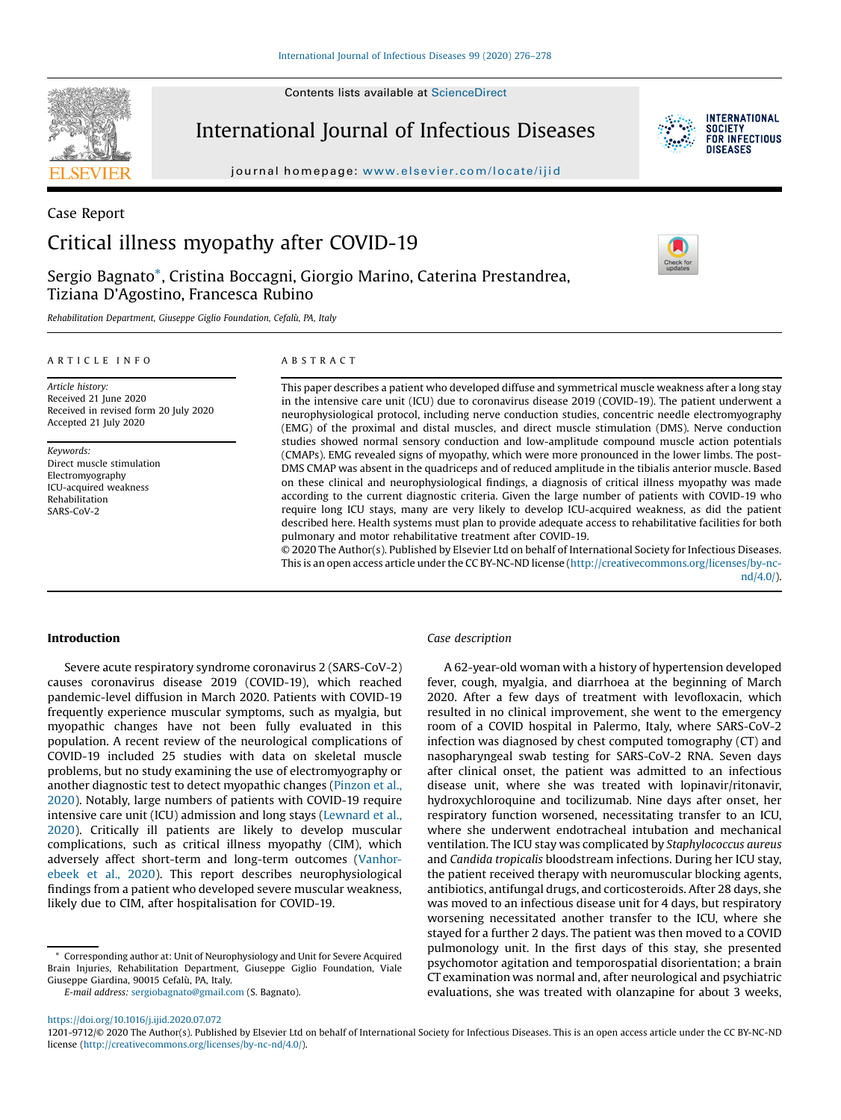Contents lists available at ScienceDirect



Case Report

International Journal of Infectious Diseases



**INTERNATIONAL** SOCIETY<br>FOR INFECTIOUS DISFASES

journal homepage: www.elsevier.com/locate/ijid

# Critical illness myopathy after COVID-19

Sergio Bagnato\*, Cristina Boccagni, Giorgio Marino, Caterina Prestandrea, Tiziana D'Agostino, Francesca Rubino

Rehabilitation Department, Giuseppe Giglio Foundation, Cefalù, PA, Italy

#### A R T I C L E I N F O

Article history: Received 21 June 2020 Received in revised form 20 July 2020 Accepted 21 July 2020

Keywords: Direct muscle stimulation Electromyography ICU-acquired weakness Rehabilitation SARS-CoV-2

## A B S T R A C T

This paper describes a patient who developed diffuse and symmetrical muscle weakness after a long stay in the intensive care unit (ICU) due to coronavirus disease 2019 (COVID-19). The patient underwent a neurophysiological protocol, including nerve conduction studies, concentric needle electromyography (EMG) of the proximal and distal muscles, and direct muscle stimulation (DMS). Nerve conduction studies showed normal sensory conduction and low-amplitude compound muscle action potentials (CMAPs). EMG revealed signs of myopathy, which were more pronounced in the lower limbs. The post-DMS CMAP was absent in the quadriceps and of reduced amplitude in the tibialis anterior muscle. Based on these clinical and neurophysiological findings, a diagnosis of critical illness myopathy was made according to the current diagnostic criteria. Given the large number of patients with COVID-19 who require long ICU stays, many are very likely to develop ICU-acquired weakness, as did the patient described here. Health systems must plan to provide adequate access to rehabilitative facilities for both pulmonary and motor rehabilitative treatment after COVID-19.

© 2020 The Author(s). Published by Elsevier Ltd on behalf of International Society for Infectious Diseases. This is an open access article under the CC BY-NC-ND license (http://creativecommons.org/licenses/by-ncnd/4.0/).

## Introduction

Severe acute respiratory syndrome coronavirus 2 (SARS-CoV-2) causes coronavirus disease 2019 (COVID-19), which reached pandemic-level diffusion in March 2020. Patients with COVID-19 frequently experience muscular symptoms, such as myalgia, but myopathic changes have not been fully evaluated in this population. A recent review of the neurological complications of COVID-19 included 25 studies with data on skeletal muscle problems, but no study examining the use of electromyography or another diagnostic test to detect myopathic changes (Pinzon et al., 2020). Notably, large numbers of patients with COVID-19 require intensive care unit (ICU) admission and long stays (Lewnard et al., 2020). Critically ill patients are likely to develop muscular complications, such as critical illness myopathy (CIM), which adversely affect short-term and long-term outcomes (Vanhorebeek et al., 2020). This report describes neurophysiological findings from a patient who developed severe muscular weakness, likely due to CIM, after hospitalisation for COVID-19.

E-mail address: sergiobagnato@gmail.com (S. Bagnato).

## Case description

A 62-year-old woman with a history of hypertension developed fever, cough, myalgia, and diarrhoea at the beginning of March 2020. After a few days of treatment with levofloxacin, which resulted in no clinical improvement, she went to the emergency room of a COVID hospital in Palermo, Italy, where SARS-CoV-2 infection was diagnosed by chest computed tomography (CT) and nasopharyngeal swab testing for SARS-CoV-2 RNA. Seven days after clinical onset, the patient was admitted to an infectious disease unit, where she was treated with lopinavir/ritonavir, hydroxychloroquine and tocilizumab. Nine days after onset, her respiratory function worsened, necessitating transfer to an ICU, where she underwent endotracheal intubation and mechanical ventilation. The ICU stay was complicated by Staphylococcus aureus and Candida tropicalis bloodstream infections. During her ICU stay, the patient received therapy with neuromuscular blocking agents, antibiotics, antifungal drugs, and corticosteroids. After 28 days, she was moved to an infectious disease unit for 4 days, but respiratory worsening necessitated another transfer to the ICU, where she stayed for a further 2 days. The patient was then moved to a COVID pulmonology unit. In the first days of this stay, she presented psychomotor agitation and temporospatial disorientation; a brain CT examination was normal and, after neurological and psychiatric evaluations, she was treated with olanzapine for about 3 weeks,

<sup>\*</sup> Corresponding author at: Unit of Neurophysiology and Unit for Severe Acquired Brain Injuries, Rehabilitation Department, Giuseppe Giglio Foundation, Viale Giuseppe Giardina, 90015 Cefalù, PA, Italy.

https://doi.org/10.1016/j.ijid.2020.07.072

<sup>1201-9712/©</sup> 2020 The Author(s). Published by Elsevier Ltd on behalf of International Society for Infectious Diseases. This is an open access article under the CC BY-NC-ND license (http://creativecommons.org/licenses/by-nc-nd/4.0/).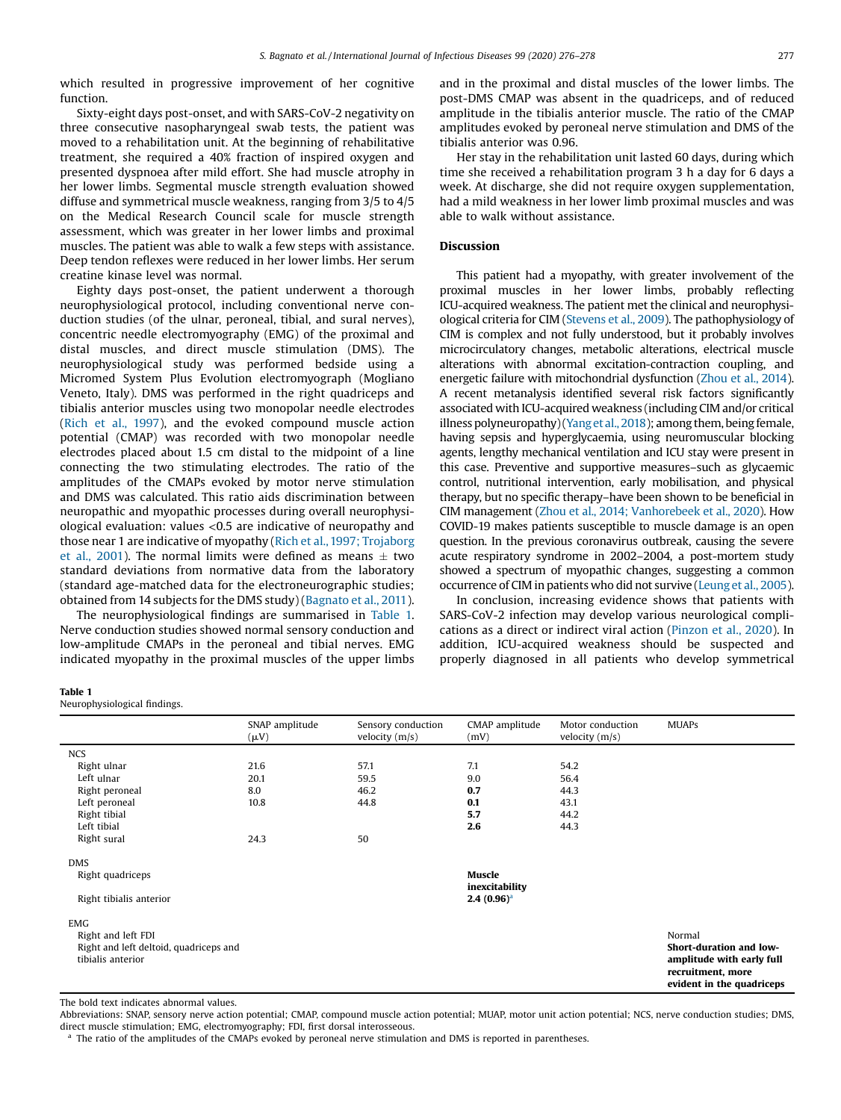which resulted in progressive improvement of her cognitive function.

Sixty-eight days post-onset, and with SARS-CoV-2 negativity on three consecutive nasopharyngeal swab tests, the patient was moved to a rehabilitation unit. At the beginning of rehabilitative treatment, she required a 40% fraction of inspired oxygen and presented dyspnoea after mild effort. She had muscle atrophy in her lower limbs. Segmental muscle strength evaluation showed diffuse and symmetrical muscle weakness, ranging from 3/5 to 4/5 on the Medical Research Council scale for muscle strength assessment, which was greater in her lower limbs and proximal muscles. The patient was able to walk a few steps with assistance. Deep tendon reflexes were reduced in her lower limbs. Her serum creatine kinase level was normal.

Eighty days post-onset, the patient underwent a thorough neurophysiological protocol, including conventional nerve conduction studies (of the ulnar, peroneal, tibial, and sural nerves), concentric needle electromyography (EMG) of the proximal and distal muscles, and direct muscle stimulation (DMS). The neurophysiological study was performed bedside using a Micromed System Plus Evolution electromyograph (Mogliano Veneto, Italy). DMS was performed in the right quadriceps and tibialis anterior muscles using two monopolar needle electrodes (Rich et al., 1997), and the evoked compound muscle action potential (CMAP) was recorded with two monopolar needle electrodes placed about 1.5 cm distal to the midpoint of a line connecting the two stimulating electrodes. The ratio of the amplitudes of the CMAPs evoked by motor nerve stimulation and DMS was calculated. This ratio aids discrimination between neuropathic and myopathic processes during overall neurophysiological evaluation: values <0.5 are indicative of neuropathy and those near 1 are indicative of myopathy (Rich et al., 1997; Trojaborg et al., 2001). The normal limits were defined as means  $\pm$  two standard deviations from normative data from the laboratory (standard age-matched data for the electroneurographic studies; obtained from 14 subjects for the DMS study) (Bagnato et al., 2011).

The neurophysiological findings are summarised in Table 1. Nerve conduction studies showed normal sensory conduction and low-amplitude CMAPs in the peroneal and tibial nerves. EMG indicated myopathy in the proximal muscles of the upper limbs and in the proximal and distal muscles of the lower limbs. The post-DMS CMAP was absent in the quadriceps, and of reduced amplitude in the tibialis anterior muscle. The ratio of the CMAP amplitudes evoked by peroneal nerve stimulation and DMS of the tibialis anterior was 0.96.

Her stay in the rehabilitation unit lasted 60 days, during which time she received a rehabilitation program 3 h a day for 6 days a week. At discharge, she did not require oxygen supplementation, had a mild weakness in her lower limb proximal muscles and was able to walk without assistance.

# Discussion

This patient had a myopathy, with greater involvement of the proximal muscles in her lower limbs, probably reflecting ICU-acquired weakness. The patient met the clinical and neurophysiological criteria for CIM (Stevens et al., 2009). The pathophysiology of CIM is complex and not fully understood, but it probably involves microcirculatory changes, metabolic alterations, electrical muscle alterations with abnormal excitation-contraction coupling, and energetic failure with mitochondrial dysfunction (Zhou et al., 2014). A recent metanalysis identified several risk factors significantly associated with ICU-acquired weakness (including CIM and/or critical illness polyneuropathy)(Yang et al., 2018); among them, being female, having sepsis and hyperglycaemia, using neuromuscular blocking agents, lengthy mechanical ventilation and ICU stay were present in this case. Preventive and supportive measures–such as glycaemic control, nutritional intervention, early mobilisation, and physical therapy, but no specific therapy–have been shown to be beneficial in CIM management (Zhou et al., 2014; Vanhorebeek et al., 2020). How COVID-19 makes patients susceptible to muscle damage is an open question. In the previous coronavirus outbreak, causing the severe acute respiratory syndrome in 2002–2004, a post-mortem study showed a spectrum of myopathic changes, suggesting a common occurrence of CIM in patients who did not survive (Leung et al., 2005).

In conclusion, increasing evidence shows that patients with SARS-CoV-2 infection may develop various neurological complications as a direct or indirect viral action (Pinzon et al., 2020). In addition, ICU-acquired weakness should be suspected and properly diagnosed in all patients who develop symmetrical

#### Table 1

Neurophysiological findings.

|                                                                                   | SNAP amplitude<br>$(\mu V)$ | Sensory conduction<br>velocity $(m/s)$ | CMAP amplitude<br>(mV)           | Motor conduction<br>velocity $(m/s)$ | <b>MUAPs</b>                                                                                                     |
|-----------------------------------------------------------------------------------|-----------------------------|----------------------------------------|----------------------------------|--------------------------------------|------------------------------------------------------------------------------------------------------------------|
| <b>NCS</b>                                                                        |                             |                                        |                                  |                                      |                                                                                                                  |
| Right ulnar                                                                       | 21.6                        | 57.1                                   | 7.1                              | 54.2                                 |                                                                                                                  |
| Left ulnar                                                                        | 20.1                        | 59.5                                   | 9.0                              | 56.4                                 |                                                                                                                  |
| Right peroneal                                                                    | 8.0                         | 46.2                                   | 0.7                              | 44.3                                 |                                                                                                                  |
| Left peroneal                                                                     | 10.8                        | 44.8                                   | 0.1                              | 43.1                                 |                                                                                                                  |
| Right tibial                                                                      |                             |                                        | 5.7                              | 44.2                                 |                                                                                                                  |
| Left tibial                                                                       |                             |                                        | 2.6                              | 44.3                                 |                                                                                                                  |
| Right sural                                                                       | 24.3                        | 50                                     |                                  |                                      |                                                                                                                  |
| <b>DMS</b>                                                                        |                             |                                        |                                  |                                      |                                                                                                                  |
| Right quadriceps                                                                  |                             |                                        | Muscle                           |                                      |                                                                                                                  |
| Right tibialis anterior                                                           |                             |                                        | inexcitability<br>$2.4~(0.96)^a$ |                                      |                                                                                                                  |
| <b>EMG</b>                                                                        |                             |                                        |                                  |                                      |                                                                                                                  |
| Right and left FDI<br>Right and left deltoid, quadriceps and<br>tibialis anterior |                             |                                        |                                  |                                      | Normal<br>Short-duration and low-<br>amplitude with early full<br>recruitment, more<br>evident in the quadriceps |

The bold text indicates abnormal values.

Abbreviations: SNAP, sensory nerve action potential; CMAP, compound muscle action potential; MUAP, motor unit action potential; NCS, nerve conduction studies; DMS, direct muscle stimulation; EMG, electromyography; FDI, first dorsal interosseous.

<sup>a</sup> The ratio of the amplitudes of the CMAPs evoked by peroneal nerve stimulation and DMS is reported in parentheses.